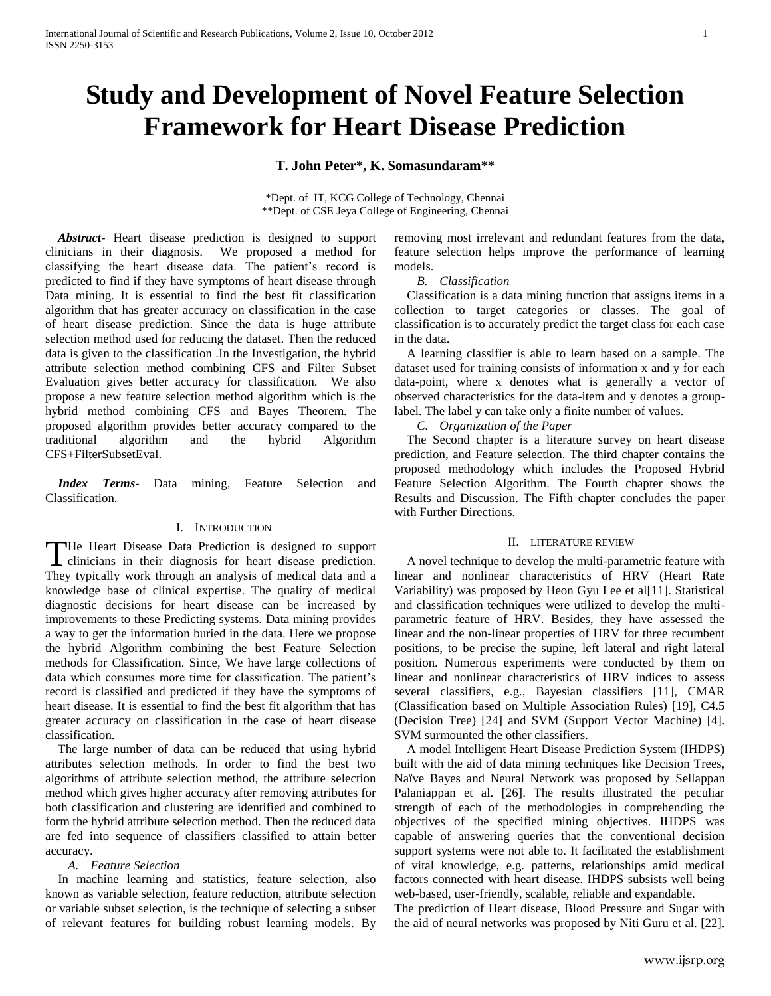# **Study and Development of Novel Feature Selection Framework for Heart Disease Prediction**

## **T. John Peter\*, K. Somasundaram\*\***

\*Dept. of IT, KCG College of Technology, Chennai \*\*Dept. of CSE Jeya College of Engineering, Chennai

 *Abstract***-** Heart disease prediction is designed to support clinicians in their diagnosis. We proposed a method for classifying the heart disease data. The patient's record is predicted to find if they have symptoms of heart disease through Data mining. It is essential to find the best fit classification algorithm that has greater accuracy on classification in the case of heart disease prediction. Since the data is huge attribute selection method used for reducing the dataset. Then the reduced data is given to the classification .In the Investigation, the hybrid attribute selection method combining CFS and Filter Subset Evaluation gives better accuracy for classification. We also propose a new feature selection method algorithm which is the hybrid method combining CFS and Bayes Theorem. The proposed algorithm provides better accuracy compared to the traditional algorithm and the hybrid Algorithm CFS+FilterSubsetEval.

 *Index Terms*- Data mining, Feature Selection and Classification.

### I. INTRODUCTION

He Heart Disease Data Prediction is designed to support The Heart Disease Data Prediction is designed to support clinicians in their diagnosis for heart disease prediction. They typically work through an analysis of medical data and a knowledge base of clinical expertise. The quality of medical diagnostic decisions for heart disease can be increased by improvements to these Predicting systems. Data mining provides a way to get the information buried in the data. Here we propose the hybrid Algorithm combining the best Feature Selection methods for Classification. Since, We have large collections of data which consumes more time for classification. The patient's record is classified and predicted if they have the symptoms of heart disease. It is essential to find the best fit algorithm that has greater accuracy on classification in the case of heart disease classification.

 The large number of data can be reduced that using hybrid attributes selection methods. In order to find the best two algorithms of attribute selection method, the attribute selection method which gives higher accuracy after removing attributes for both classification and clustering are identified and combined to form the hybrid attribute selection method. Then the reduced data are fed into sequence of classifiers classified to attain better accuracy.

#### *A. Feature Selection*

 In machine learning and statistics, feature selection, also known as variable selection, feature reduction, attribute selection or variable subset selection, is the technique of selecting a subset of relevant features for building robust learning models. By

removing most irrelevant and redundant features from the data, feature selection helps improve the performance of learning models.

#### *B. Classification*

 Classification is a data mining function that assigns items in a collection to target categories or classes. The goal of classification is to accurately predict the target class for each case in the data.

 A learning classifier is able to learn based on a sample. The dataset used for training consists of information x and y for each data-point, where x denotes what is generally a vector of observed characteristics for the data-item and y denotes a grouplabel. The label y can take only a finite number of values.

# *C. Organization of the Paper*

 The Second chapter is a literature survey on heart disease prediction, and Feature selection. The third chapter contains the proposed methodology which includes the Proposed Hybrid Feature Selection Algorithm. The Fourth chapter shows the Results and Discussion. The Fifth chapter concludes the paper with Further Directions.

#### II. LITERATURE REVIEW

 A novel technique to develop the multi-parametric feature with linear and nonlinear characteristics of HRV (Heart Rate Variability) was proposed by Heon Gyu Lee et al[11]. Statistical and classification techniques were utilized to develop the multiparametric feature of HRV. Besides, they have assessed the linear and the non-linear properties of HRV for three recumbent positions, to be precise the supine, left lateral and right lateral position. Numerous experiments were conducted by them on linear and nonlinear characteristics of HRV indices to assess several classifiers, e.g., Bayesian classifiers [11], CMAR (Classification based on Multiple Association Rules) [19], C4.5 (Decision Tree) [24] and SVM (Support Vector Machine) [4]. SVM surmounted the other classifiers.

 A model Intelligent Heart Disease Prediction System (IHDPS) built with the aid of data mining techniques like Decision Trees, Naïve Bayes and Neural Network was proposed by Sellappan Palaniappan et al. [26]. The results illustrated the peculiar strength of each of the methodologies in comprehending the objectives of the specified mining objectives. IHDPS was capable of answering queries that the conventional decision support systems were not able to. It facilitated the establishment of vital knowledge, e.g. patterns, relationships amid medical factors connected with heart disease. IHDPS subsists well being web-based, user-friendly, scalable, reliable and expandable.

The prediction of Heart disease, Blood Pressure and Sugar with the aid of neural networks was proposed by Niti Guru et al. [22].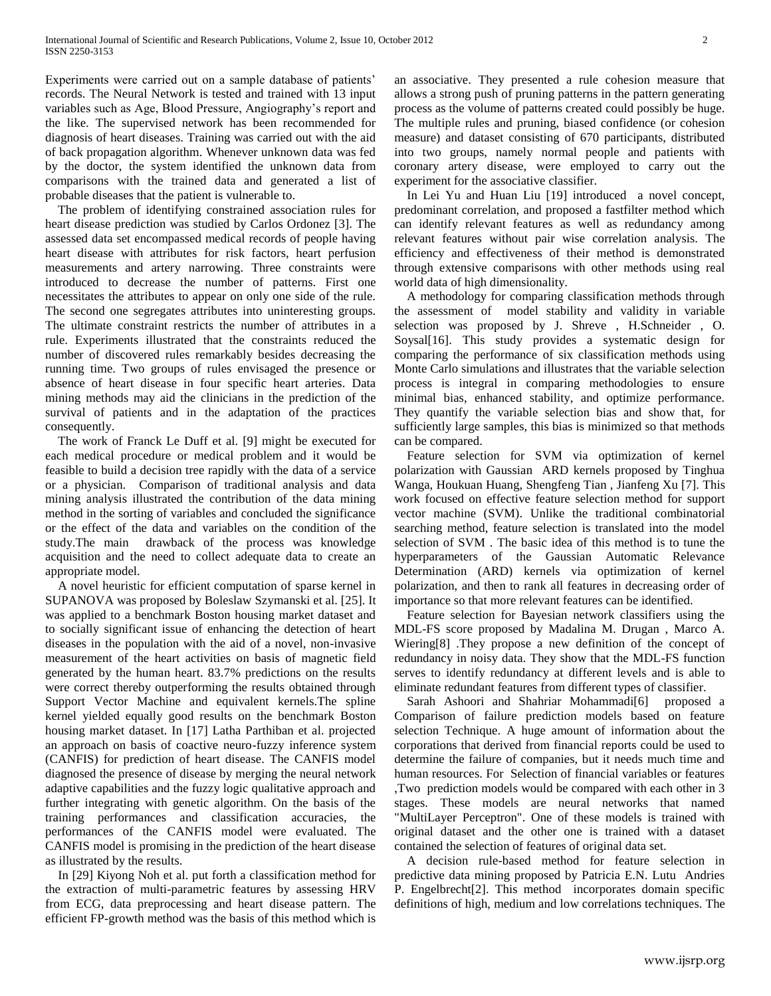Experiments were carried out on a sample database of patients' records. The Neural Network is tested and trained with 13 input variables such as Age, Blood Pressure, Angiography's report and the like. The supervised network has been recommended for diagnosis of heart diseases. Training was carried out with the aid of back propagation algorithm. Whenever unknown data was fed by the doctor, the system identified the unknown data from comparisons with the trained data and generated a list of probable diseases that the patient is vulnerable to.

 The problem of identifying constrained association rules for heart disease prediction was studied by Carlos Ordonez [3]. The assessed data set encompassed medical records of people having heart disease with attributes for risk factors, heart perfusion measurements and artery narrowing. Three constraints were introduced to decrease the number of patterns. First one necessitates the attributes to appear on only one side of the rule. The second one segregates attributes into uninteresting groups. The ultimate constraint restricts the number of attributes in a rule. Experiments illustrated that the constraints reduced the number of discovered rules remarkably besides decreasing the running time. Two groups of rules envisaged the presence or absence of heart disease in four specific heart arteries. Data mining methods may aid the clinicians in the prediction of the survival of patients and in the adaptation of the practices consequently.

 The work of Franck Le Duff et al. [9] might be executed for each medical procedure or medical problem and it would be feasible to build a decision tree rapidly with the data of a service or a physician. Comparison of traditional analysis and data mining analysis illustrated the contribution of the data mining method in the sorting of variables and concluded the significance or the effect of the data and variables on the condition of the study.The main drawback of the process was knowledge acquisition and the need to collect adequate data to create an appropriate model.

 A novel heuristic for efficient computation of sparse kernel in SUPANOVA was proposed by Boleslaw Szymanski et al. [25]. It was applied to a benchmark Boston housing market dataset and to socially significant issue of enhancing the detection of heart diseases in the population with the aid of a novel, non-invasive measurement of the heart activities on basis of magnetic field generated by the human heart. 83.7% predictions on the results were correct thereby outperforming the results obtained through Support Vector Machine and equivalent kernels.The spline kernel yielded equally good results on the benchmark Boston housing market dataset. In [17] Latha Parthiban et al. projected an approach on basis of coactive neuro-fuzzy inference system (CANFIS) for prediction of heart disease. The CANFIS model diagnosed the presence of disease by merging the neural network adaptive capabilities and the fuzzy logic qualitative approach and further integrating with genetic algorithm. On the basis of the training performances and classification accuracies, the performances of the CANFIS model were evaluated. The CANFIS model is promising in the prediction of the heart disease as illustrated by the results.

 In [29] Kiyong Noh et al. put forth a classification method for the extraction of multi-parametric features by assessing HRV from ECG, data preprocessing and heart disease pattern. The efficient FP-growth method was the basis of this method which is

an associative. They presented a rule cohesion measure that allows a strong push of pruning patterns in the pattern generating process as the volume of patterns created could possibly be huge. The multiple rules and pruning, biased confidence (or cohesion measure) and dataset consisting of 670 participants, distributed into two groups, namely normal people and patients with coronary artery disease, were employed to carry out the experiment for the associative classifier.

 In Lei Yu and Huan Liu [19] introduced a novel concept, predominant correlation, and proposed a fastfilter method which can identify relevant features as well as redundancy among relevant features without pair wise correlation analysis. The efficiency and effectiveness of their method is demonstrated through extensive comparisons with other methods using real world data of high dimensionality.

 A methodology for comparing classification methods through the assessment of model stability and validity in variable selection was proposed by J. Shreve , H.Schneider , O. Soysal[16]. This study provides a systematic design for comparing the performance of six classification methods using Monte Carlo simulations and illustrates that the variable selection process is integral in comparing methodologies to ensure minimal bias, enhanced stability, and optimize performance. They quantify the variable selection bias and show that, for sufficiently large samples, this bias is minimized so that methods can be compared.

 Feature selection for SVM via optimization of kernel polarization with Gaussian ARD kernels proposed by Tinghua Wanga, Houkuan Huang, Shengfeng Tian , Jianfeng Xu [7]. This work focused on effective feature selection method for support vector machine (SVM). Unlike the traditional combinatorial searching method, feature selection is translated into the model selection of SVM . The basic idea of this method is to tune the hyperparameters of the Gaussian Automatic Relevance Determination (ARD) kernels via optimization of kernel polarization, and then to rank all features in decreasing order of importance so that more relevant features can be identified.

 Feature selection for Bayesian network classifiers using the MDL-FS score proposed by Madalina M. Drugan , Marco A. Wiering[8] .They propose a new definition of the concept of redundancy in noisy data. They show that the MDL-FS function serves to identify redundancy at different levels and is able to eliminate redundant features from different types of classifier.

 Sarah Ashoori and Shahriar Mohammadi[6] proposed a Comparison of failure prediction models based on feature selection Technique. A huge amount of information about the corporations that derived from financial reports could be used to determine the failure of companies, but it needs much time and human resources. For Selection of financial variables or features ,Two prediction models would be compared with each other in 3 stages. These models are neural networks that named "MultiLayer Perceptron". One of these models is trained with original dataset and the other one is trained with a dataset contained the selection of features of original data set.

 A decision rule-based method for feature selection in predictive data mining proposed by Patricia E.N. Lutu Andries P. Engelbrecht[2]. This method incorporates domain specific definitions of high, medium and low correlations techniques. The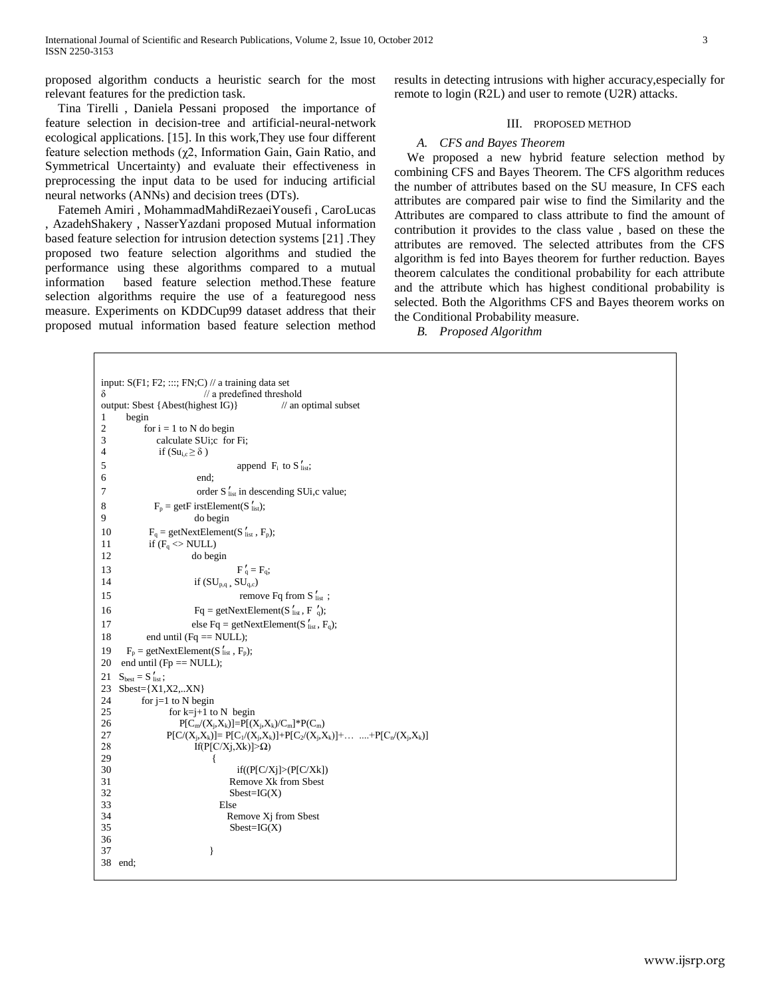proposed algorithm conducts a heuristic search for the most relevant features for the prediction task.

 Tina Tirelli , Daniela Pessani proposed the importance of feature selection in decision-tree and artificial-neural-network ecological applications. [15]. In this work,They use four different feature selection methods (χ2, Information Gain, Gain Ratio, and Symmetrical Uncertainty) and evaluate their effectiveness in preprocessing the input data to be used for inducing artificial neural networks (ANNs) and decision trees (DTs).

 Fatemeh Amiri , MohammadMahdiRezaeiYousefi , CaroLucas , AzadehShakery , NasserYazdani proposed Mutual information based feature selection for intrusion detection systems [21] .They proposed two feature selection algorithms and studied the performance using these algorithms compared to a mutual information based feature selection method.These feature selection algorithms require the use of a featuregood ness measure. Experiments on KDDCup99 dataset address that their proposed mutual information based feature selection method

results in detecting intrusions with higher accuracy,especially for remote to login (R2L) and user to remote (U2R) attacks.

## III. PROPOSED METHOD

# *A. CFS and Bayes Theorem*

 We proposed a new hybrid feature selection method by combining CFS and Bayes Theorem. The CFS algorithm reduces the number of attributes based on the SU measure, In CFS each attributes are compared pair wise to find the Similarity and the Attributes are compared to class attribute to find the amount of contribution it provides to the class value , based on these the attributes are removed. The selected attributes from the CFS algorithm is fed into Bayes theorem for further reduction. Bayes theorem calculates the conditional probability for each attribute and the attribute which has highest conditional probability is selected. Both the Algorithms CFS and Bayes theorem works on the Conditional Probability measure.

*B. Proposed Algorithm* 

```
input: S(F1; F2; :::; FN;C) // a training data set
δ \frac{1}{2} // a predefined threshold
output: Sbest {Abest(highest IG)} // an optimal subset
1 begin
2 for i = 1 to N do begin
3 calculate SUi;c for Fi;
4 if (Su_{i,c} \ge \delta)5 \qquad \qquad \text{append } F_i \text{ to } S'_{list};6 end;
7 order S '_{list} in descending SUi,c value;
8 F_p = getF \text{ irstElement}(S \text{ 'list)});9 do begin
10 F_q = getNextElement(S'_{list}, F_p);11 if (F_q \diamondsuit NULL)
12 do begin
13 F'_{q} = F_{q};
14 if (SU_{p,q}, SU_{q,c})15 remove Fq from S'_{\text{list}};
16 Fq = getNextElement(S'_{list}, F'_{q});
17 else Fq = getNextElement(S'_{list}, F<sub>q</sub>);
18 end until (Fq == NULL);19 F_p = getNextElement(S'_{list}, F_p);20 end until (Fp == NULL);
21 S<sub>best</sub> = S'<sub>list</sub>;
23 Sbest={X1,X2,..XN}
24 for j=1 to N begin
25 for k=j+1 to N begin
26 P[C_m/(X_i,X_k)] = P[(X_i,X_k)/C_m] * P(C_m)27 P[C/(X_j, X_k)] = P[C_1/(X_j, X_k)] + P[C_2/(X_j, X_k)] + ... ... + P[C_n/(X_j, X_k)]<br>28 If(P[C/Xi,Xk)]>\OmegaIf(P[C/Xj,Xk)]>\Omega)
29 { 
30 if((P[C/Xj]>(P[C/Xk])<br>31 Remove Xk from Shest
                         Remove Xk from Sbest
32 Sbest=IG(X)
33 Else
34 Remove Xj from Sbest 35 Sbest=IG(X)
                         Sbest=IG(X)36
37 } 
38 end;
```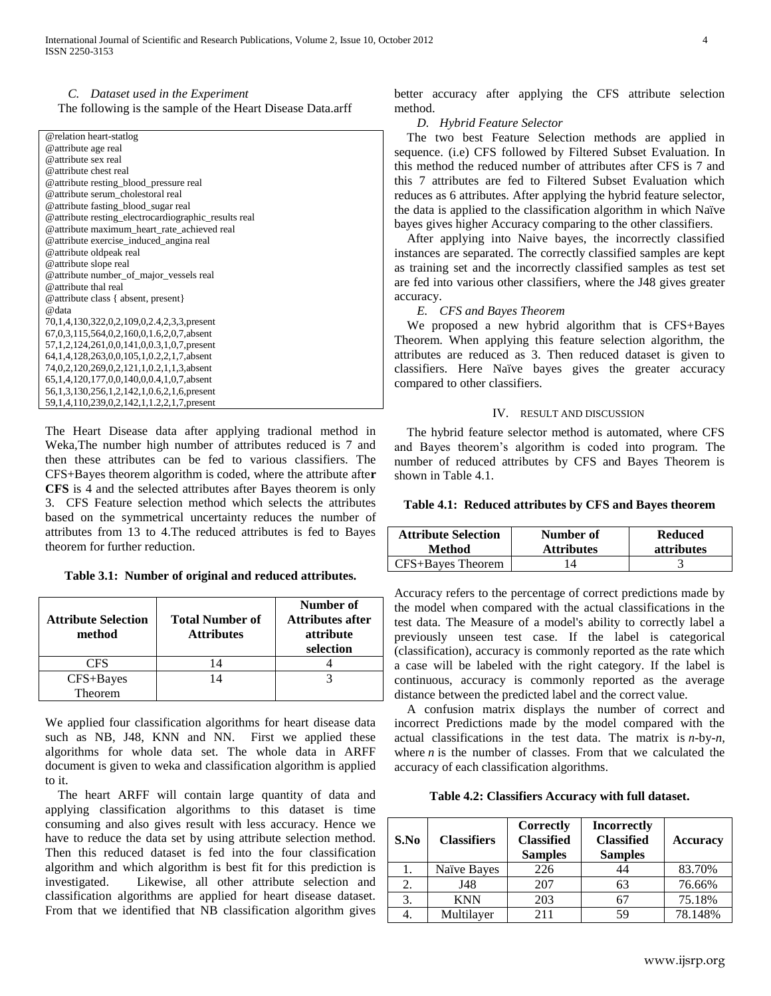International Journal of Scientific and Research Publications, Volume 2, Issue 10, October 2012 4 ISSN 2250-3153

|  | Dataset used in the Experiment                             |
|--|------------------------------------------------------------|
|  | The following is the sample of the Heart Disease Data.arff |

| @relation heart-statlog                                 |
|---------------------------------------------------------|
| @attribute age real                                     |
| @attribute sex real                                     |
| @attribute chest real                                   |
| @attribute resting_blood_pressure real                  |
| @attribute serum cholestoral real                       |
| @attribute fasting_blood_sugar real                     |
| @attribute resting_electrocardiographic_results real    |
| @attribute maximum heart rate achieved real             |
| @attribute exercise_induced_angina real                 |
| @attribute oldpeak real                                 |
| @attribute slope real                                   |
| @attribute number_of_major_vessels real                 |
| @attribute thal real                                    |
| @attribute class { absent, present }                    |
| @data                                                   |
| 70,1,4,130,322,0,2,109,0,2.4,2,3,3,present              |
| 67,0,3,115,564,0,2,160,0,1.6,2,0,7,absent               |
| 57, 1, 2, 124, 261, 0, 0, 141, 0, 0.3, 1, 0, 7, present |
| 64, 1, 4, 128, 263, 0, 0, 105, 1, 0.2, 2, 1, 7, absent  |
| 74,0,2,120,269,0,2,121,1,0.2,1,1,3,absent               |
| 65,1,4,120,177,0,0,140,0,0.4,1,0,7,absent               |
| 56, 1, 3, 130, 256, 1, 2, 142, 1, 0.6, 2, 1, 6, present |
| 59, 1, 4, 110, 239, 0, 2, 142, 1, 1.2, 2, 1, 7, present |

The Heart Disease data after applying tradional method in Weka,The number high number of attributes reduced is 7 and then these attributes can be fed to various classifiers. The CFS+Bayes theorem algorithm is coded, where the attribute afte**r CFS** is 4 and the selected attributes after Bayes theorem is only 3. CFS Feature selection method which selects the attributes based on the symmetrical uncertainty reduces the number of attributes from 13 to 4.The reduced attributes is fed to Bayes theorem for further reduction.

**Table 3.1: Number of original and reduced attributes.**

| <b>Attribute Selection</b><br>method | <b>Total Number of</b><br><b>Attributes</b> | Number of<br><b>Attributes after</b><br><i>attribute</i><br>selection |
|--------------------------------------|---------------------------------------------|-----------------------------------------------------------------------|
| CFS                                  |                                             |                                                                       |
| CFS+Bayes                            |                                             |                                                                       |
| Theorem                              |                                             |                                                                       |

We applied four classification algorithms for heart disease data such as NB, J48, KNN and NN. First we applied these algorithms for whole data set. The whole data in ARFF document is given to weka and classification algorithm is applied to it.

 The heart ARFF will contain large quantity of data and applying classification algorithms to this dataset is time consuming and also gives result with less accuracy. Hence we have to reduce the data set by using attribute selection method. Then this reduced dataset is fed into the four classification algorithm and which algorithm is best fit for this prediction is investigated. Likewise, all other attribute selection and classification algorithms are applied for heart disease dataset. From that we identified that NB classification algorithm gives better accuracy after applying the CFS attribute selection method.

*D. Hybrid Feature Selector* 

 The two best Feature Selection methods are applied in sequence. (i.e) CFS followed by Filtered Subset Evaluation. In this method the reduced number of attributes after CFS is 7 and this 7 attributes are fed to Filtered Subset Evaluation which reduces as 6 attributes. After applying the hybrid feature selector, the data is applied to the classification algorithm in which Naïve bayes gives higher Accuracy comparing to the other classifiers.

 After applying into Naive bayes, the incorrectly classified instances are separated. The correctly classified samples are kept as training set and the incorrectly classified samples as test set are fed into various other classifiers, where the J48 gives greater accuracy.

# *E. CFS and Bayes Theorem*

 We proposed a new hybrid algorithm that is CFS+Bayes Theorem. When applying this feature selection algorithm, the attributes are reduced as 3. Then reduced dataset is given to classifiers. Here Naïve bayes gives the greater accuracy compared to other classifiers.

# IV. RESULT AND DISCUSSION

 The hybrid feature selector method is automated, where CFS and Bayes theorem's algorithm is coded into program. The number of reduced attributes by CFS and Bayes Theorem is shown in Table 4.1.

# **Table 4.1: Reduced attributes by CFS and Bayes theorem**

| <b>Attribute Selection</b> | Number of         | <b>Reduced</b> |
|----------------------------|-------------------|----------------|
| Method                     | <b>Attributes</b> | attributes     |
| CFS+Bayes Theorem          |                   |                |

Accuracy refers to the percentage of correct predictions made by the model when compared with the actual classifications in the test data. The Measure of a model's ability to correctly label a previously unseen test case. If the label is categorical (classification), accuracy is commonly reported as the rate which a case will be labeled with the right category. If the label is continuous, accuracy is commonly reported as the average distance between the predicted label and the correct value.

 A confusion matrix displays the number of correct and incorrect Predictions made by the model compared with the actual classifications in the test data. The matrix is *n*-by-*n*, where *n* is the number of classes. From that we calculated the accuracy of each classification algorithms.

## **Table 4.2: Classifiers Accuracy with full dataset.**

| S.No | <b>Classifiers</b> | Correctly<br><b>Classified</b><br><b>Samples</b> | <b>Incorrectly</b><br><b>Classified</b><br><b>Samples</b> | <b>Accuracy</b> |
|------|--------------------|--------------------------------------------------|-----------------------------------------------------------|-----------------|
| 1.   | Naïve Bayes        | 226                                              | 44                                                        | 83.70%          |
| 2.   | J48                | 207                                              | 63                                                        | 76.66%          |
| 3.   | <b>KNN</b>         | 203                                              | 67                                                        | 75.18%          |
|      | Multilayer         | 2.11                                             | 59                                                        | 78.148%         |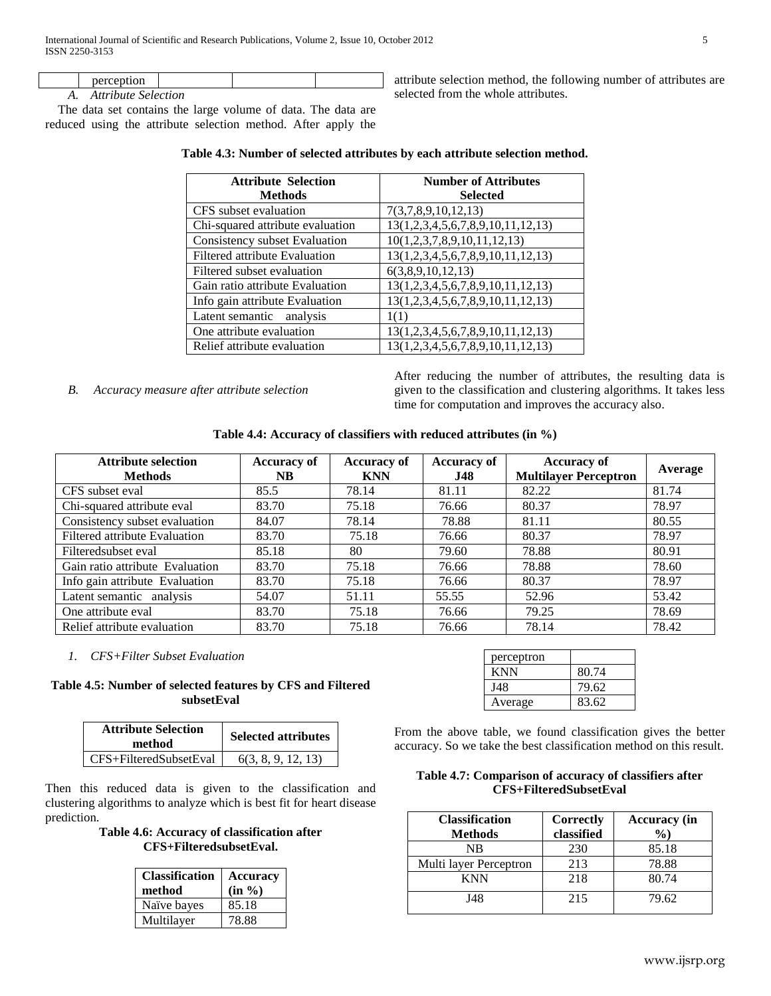| perception          |  |  |
|---------------------|--|--|
| Attribute Selection |  |  |

 The data set contains the large volume of data. The data are reduced using the attribute selection method. After apply the attribute selection method, the following number of attributes are selected from the whole attributes.

| <b>Attribute Selection</b>       | <b>Number of Attributes</b>       |
|----------------------------------|-----------------------------------|
| <b>Methods</b>                   | <b>Selected</b>                   |
| CFS subset evaluation            | 7(3,7,8,9,10,12,13)               |
| Chi-squared attribute evaluation | 13(1,2,3,4,5,6,7,8,9,10,11,12,13) |
| Consistency subset Evaluation    | 10(1,2,3,7,8,9,10,11,12,13)       |
| Filtered attribute Evaluation    | 13(1,2,3,4,5,6,7,8,9,10,11,12,13) |
| Filtered subset evaluation       | 6(3,8,9,10,12,13)                 |
| Gain ratio attribute Evaluation  | 13(1,2,3,4,5,6,7,8,9,10,11,12,13) |
| Info gain attribute Evaluation   | 13(1,2,3,4,5,6,7,8,9,10,11,12,13) |
| Latent semantic analysis         | 1(1)                              |
| One attribute evaluation         | 13(1,2,3,4,5,6,7,8,9,10,11,12,13) |
| Relief attribute evaluation      | 13(1,2,3,4,5,6,7,8,9,10,11,12,13) |

**Table 4.3: Number of selected attributes by each attribute selection method.**

*B. Accuracy measure after attribute selection*

After reducing the number of attributes, the resulting data is given to the classification and clustering algorithms. It takes less time for computation and improves the accuracy also.

| Table 4.4: Accuracy of classifiers with reduced attributes (in %) |  |  |  |  |  |  |  |  |
|-------------------------------------------------------------------|--|--|--|--|--|--|--|--|
|-------------------------------------------------------------------|--|--|--|--|--|--|--|--|

| <b>Attribute selection</b><br><b>Methods</b> | <b>Accuracy of</b><br>NB. | <b>Accuracy of</b><br><b>KNN</b> | <b>Accuracy of</b><br><b>J48</b> | <b>Accuracy of</b><br><b>Multilayer Perceptron</b> | Average |
|----------------------------------------------|---------------------------|----------------------------------|----------------------------------|----------------------------------------------------|---------|
| CFS subset eval                              | 85.5                      | 78.14                            | 81.11                            | 82.22                                              | 81.74   |
| Chi-squared attribute eval                   | 83.70                     | 75.18                            | 76.66                            | 80.37                                              | 78.97   |
| Consistency subset evaluation                | 84.07                     | 78.14                            | 78.88                            | 81.11                                              | 80.55   |
| Filtered attribute Evaluation                | 83.70                     | 75.18                            | 76.66                            | 80.37                                              | 78.97   |
| Filteredsubset eval                          | 85.18                     | 80                               | 79.60                            | 78.88                                              | 80.91   |
| Gain ratio attribute Evaluation              | 83.70                     | 75.18                            | 76.66                            | 78.88                                              | 78.60   |
| Info gain attribute Evaluation               | 83.70                     | 75.18                            | 76.66                            | 80.37                                              | 78.97   |
| Latent semantic analysis                     | 54.07                     | 51.11                            | 55.55                            | 52.96                                              | 53.42   |
| One attribute eval                           | 83.70                     | 75.18                            | 76.66                            | 79.25                                              | 78.69   |
| Relief attribute evaluation                  | 83.70                     | 75.18                            | 76.66                            | 78.14                                              | 78.42   |

*1. CFS+Filter Subset Evaluation* 

**Table 4.5: Number of selected features by CFS and Filtered subsetEval**

| <b>Attribute Selection</b><br>method | <b>Selected attributes</b> |
|--------------------------------------|----------------------------|
| CFS+FilteredSubsetEval               | 6(3, 8, 9, 12, 13)         |

Then this reduced data is given to the classification and clustering algorithms to analyze which is best fit for heart disease prediction.

**Table 4.6: Accuracy of classification after CFS+FilteredsubsetEval.**

| <b>Classification</b><br>method | Accuracy<br>(in %) |
|---------------------------------|--------------------|
| Naïve bayes                     | 85.18              |
| Multilayer                      | 78.88              |

| perceptron |       |
|------------|-------|
| <b>KNN</b> | 80.74 |
| J48        | 79.62 |
| Average    | 83.62 |

From the above table, we found classification gives the better accuracy. So we take the best classification method on this result.

| Table 4.7: Comparison of accuracy of classifiers after |
|--------------------------------------------------------|
| CFS+FilteredSubsetEval                                 |

| <b>Classification</b><br><b>Methods</b> | Correctly<br>classified | <b>Accuracy</b> (in<br>$\%$ |
|-----------------------------------------|-------------------------|-----------------------------|
| NB                                      | 230                     | 85.18                       |
| Multi layer Perceptron                  | 213                     | 78.88                       |
| KNN                                     | 218                     | 80.74                       |
| J48                                     | 215                     | 79.62                       |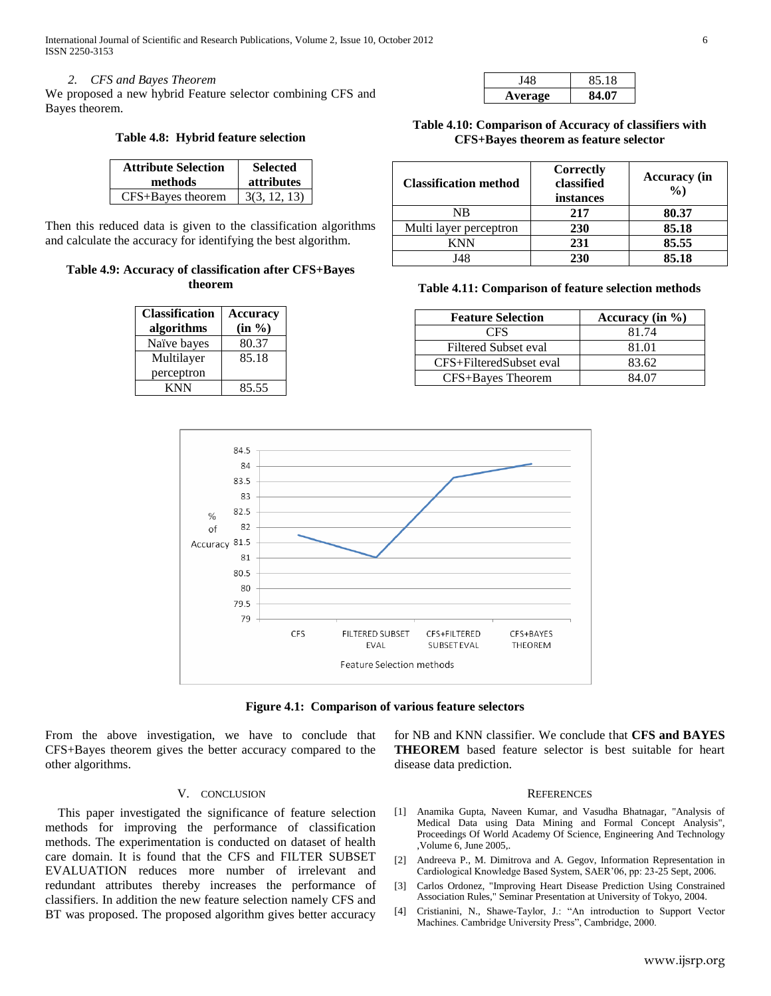International Journal of Scientific and Research Publications, Volume 2, Issue 10, October 2012 6 ISSN 2250-3153

> **Selected attributes**

**Accuracy (in %)**

85.18

#### *2. CFS and Bayes Theorem*

We proposed a new hybrid Feature selector combining CFS and Bayes theorem.

**Table 4.8: Hybrid feature selection**

 $CFS+Bayes$  theorem  $\vert$  3(3, 12, 13)

Then this reduced data is given to the classification algorithms and calculate the accuracy for identifying the best algorithm.

**Table 4.9: Accuracy of classification after CFS+Bayes theorem**

Naïve bayes 80.37

KNN 85.55

**Attribute Selection methods**

> **Classification algorithms**

> > Multilayer perceptron

|         | 85.18 |
|---------|-------|
| Average | 84.07 |

**Table 4.10: Comparison of Accuracy of classifiers with CFS+Bayes theorem as feature selector**

| <b>Classification method</b> | Correctly<br>classified<br><i>instances</i> | <b>Accuracy</b> (in<br>$\%$ |
|------------------------------|---------------------------------------------|-----------------------------|
| NB                           | 217                                         | 80.37                       |
| Multi layer perceptron       | 230                                         | 85.18                       |
| KNN                          | 231                                         | 85.55                       |

**Table 4.11: Comparison of feature selection methods**

J48 **230 85.18**

| <b>Feature Selection</b> | Accuracy (in $\%$ ) |
|--------------------------|---------------------|
| <b>CFS</b>               | 81.74               |
| Filtered Subset eval     | 81.01               |
| CFS+FilteredSubset eval  | 83.62               |
| CFS+Bayes Theorem        | 84.07               |



**Figure 4.1: Comparison of various feature selectors**

From the above investigation, we have to conclude that CFS+Bayes theorem gives the better accuracy compared to the other algorithms.

### V. CONCLUSION

 This paper investigated the significance of feature selection methods for improving the performance of classification methods. The experimentation is conducted on dataset of health care domain. It is found that the CFS and FILTER SUBSET EVALUATION reduces more number of irrelevant and redundant attributes thereby increases the performance of classifiers. In addition the new feature selection namely CFS and BT was proposed. The proposed algorithm gives better accuracy for NB and KNN classifier. We conclude that **CFS and BAYES THEOREM** based feature selector is best suitable for heart disease data prediction.

#### **REFERENCES**

- [1] Anamika Gupta, Naveen Kumar, and Vasudha Bhatnagar, "Analysis of Medical Data using Data Mining and Formal Concept Analysis", Proceedings Of World Academy Of Science, Engineering And Technology ,Volume 6, June 2005,.
- [2] Andreeva P., M. Dimitrova and A. Gegov, Information Representation in Cardiological Knowledge Based System, SAER'06, pp: 23-25 Sept, 2006.
- [3] Carlos Ordonez, "Improving Heart Disease Prediction Using Constrained Association Rules," Seminar Presentation at University of Tokyo, 2004.
- [4] Cristianini, N., Shawe-Taylor, J.: "An introduction to Support Vector Machines. Cambridge University Press", Cambridge, 2000.